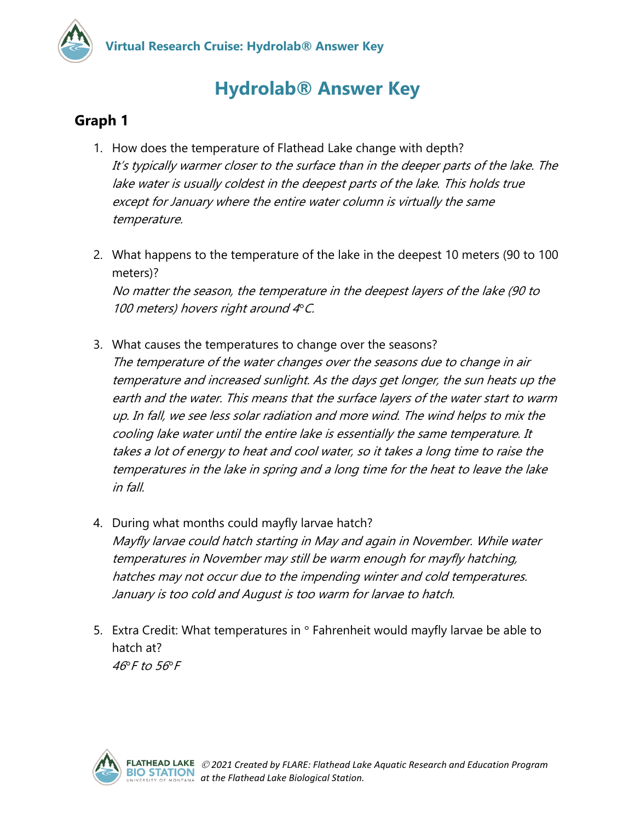

## **Hydrolab® Answer Key**

## **Graph 1**

- 1. How does the temperature of Flathead Lake change with depth? It's typically warmer closer to the surface than in the deeper parts of the lake. The lake water is usually coldest in the deepest parts of the lake. This holds true except for January where the entire water column is virtually the same temperature.
- 2. What happens to the temperature of the lake in the deepest 10 meters (90 to 100 meters)? No matter the season, the temperature in the deepest layers of the lake (90 to 100 meters) hovers right around 4*°*C.
- 3. What causes the temperatures to change over the seasons? The temperature of the water changes over the seasons due to change in air temperature and increased sunlight. As the days get longer, the sun heats up the earth and the water. This means that the surface layers of the water start to warm up. In fall, we see less solar radiation and more wind. The wind helps to mix the cooling lake water until the entire lake is essentially the same temperature. It takes a lot of energy to heat and cool water, so it takes a long time to raise the temperatures in the lake in spring and a long time for the heat to leave the lake in fall.
- 4. During what months could mayfly larvae hatch? Mayfly larvae could hatch starting in May and again in November. While water temperatures in November may still be warm enough for mayfly hatching, hatches may not occur due to the impending winter and cold temperatures. January is too cold and August is too warm for larvae to hatch.
- 5. Extra Credit: What temperatures in  $\circ$  Fahrenheit would mayfly larvae be able to hatch at? 46*°*F to 56*°*F